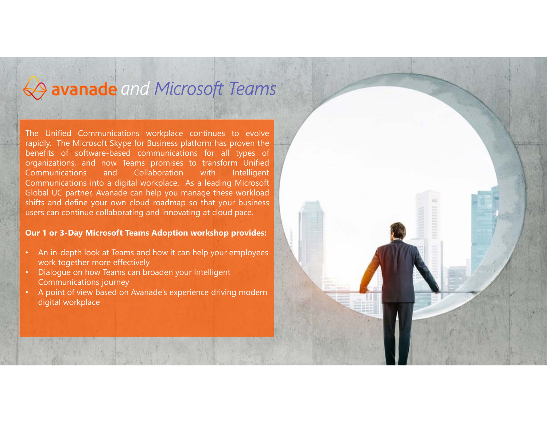## *and Microsoft Teams*

The Unified Communications workplace continues to evolve rapidly. The Microsoft Skype for Business platform has proven the benefits of software-based communications for all types of organizations, and now Teams promises to transform Unified Communications and Collaboration with Intelligent Communications into <sup>a</sup> digital workplace. As <sup>a</sup> leading Microsoft Global UC partner, Avanade can help you manage these workload shifts and define your own cloud roadmap so that your business users can continue collaborating and innovating at cloud pace.

#### **Our 1 or 3-Day Microsoft Teams Adoption workshop provides:**

- • An in-depth look at Teams and how it can help your employees work together more effectively
- • Dialogue on how Teams can broaden your Intelligent Communications journey
- • A point of view based on Avanade's experience driving modern digital workplace

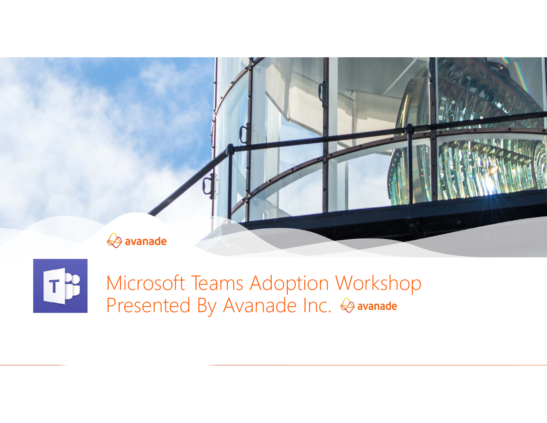



Microsoft Teams Adoption Workshop Presented By Avanade Inc. & avanade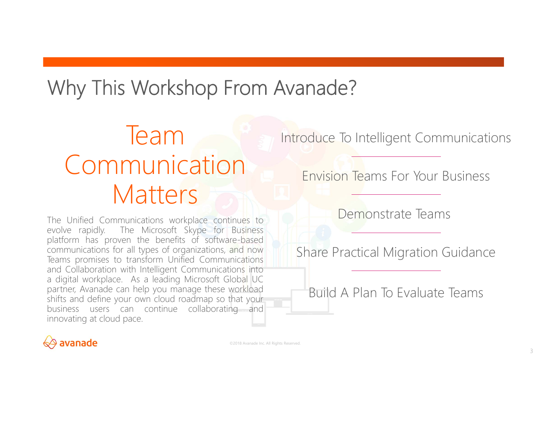## Why This Workshop From Avanade?

## Team Communication **Matters**

The Unified Communications workplace continues to evolve rapidly. The Microsoft Skype for Business platform has proven the benefits of software-based communications for all types of organizations, and now Teams promises to transform Unified Communications and Collaboration with Intelligent Communications into <sup>a</sup> digital workplace. As <sup>a</sup> leading Microsoft Global UC partner, Avanade can help you manage these workload shifts and define your own cloud roadmap so that your business users can continue collaborating and innovating at cloud pace.

Introduce To Intelligent Communications

Envision Teams For Your Business

Demonstrate Teams

Share Practical Migration Guidance

Build A Plan To Evaluate Teams

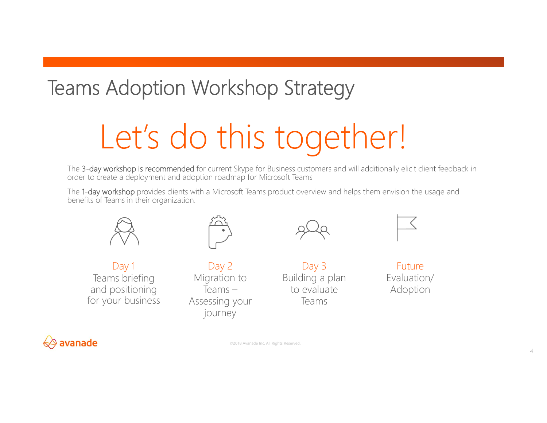## Teams Adoption Workshop Strategy

# Let's do this together!

The 3-day workshop is recommended for current Skype for Business customers and will additionally elicit client feedback in order to create a deployment and adoption roadmap for Microsoft Teams

The 1-day workshop provides clients with a Microsoft Teams product overview and helps them envision the usage and benefits of Teams in their organization.



Day 1 Teams briefing and positioning for your business



Day 2 Migration to Teams –Assessing your journey

Day 3 Building a plan to evaluate Teams



Future Evaluation/ Adoption

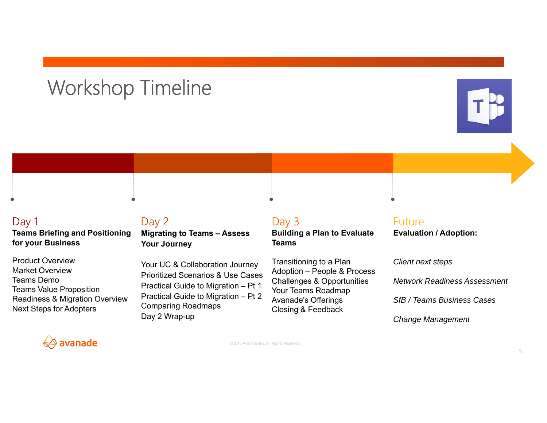## Workshop Timeline





#### Day 1

**Teams Briefing and Positioning for your Business**

Product OverviewMarket OverviewTeams DemoTeams Value Proposition Readiness & Migration Overview Next Steps for Adopters

#### Day 2 **Migrating to Teams – Assess Your Journey**

Your UC & Collaboration Journey Prioritized Scenarios & Use CasesPractical Guide to Migration – Pt 1 Practical Guide to Migration – Pt 2 Comparing Roadmaps Day 2 Wrap-up

#### Day 3 **Building a Plan to Evaluate Teams**

Transitioning to a Plan Adoption – People & Process Challenges & Opportunities Your Teams Roadmap Avanade's Offerings Closing & Feedback

#### Future**Evaluation / Adoption:**

*Client next steps Network Readiness AssessmentSfB / Teams Business CasesChange Management*

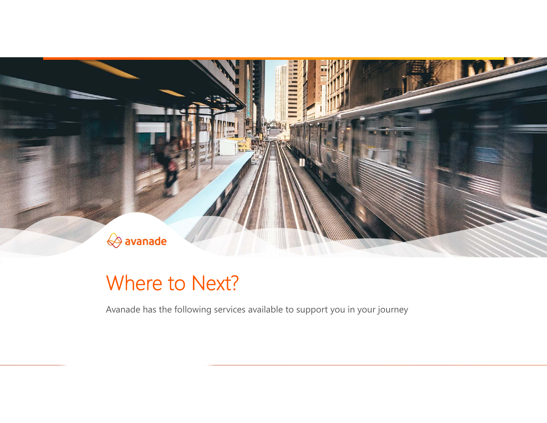

### Where to Next?

Avanade has the following services available to support you in your journey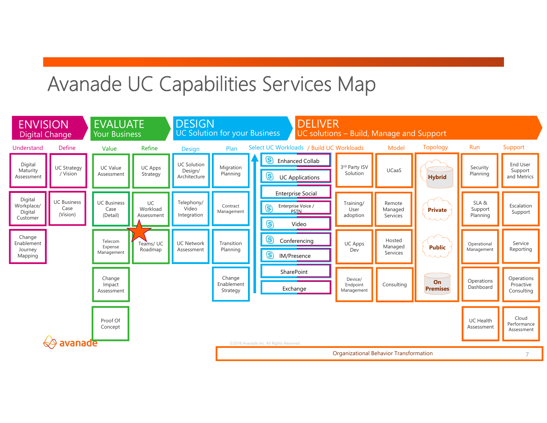## Avanade UC Capabilities Services Map